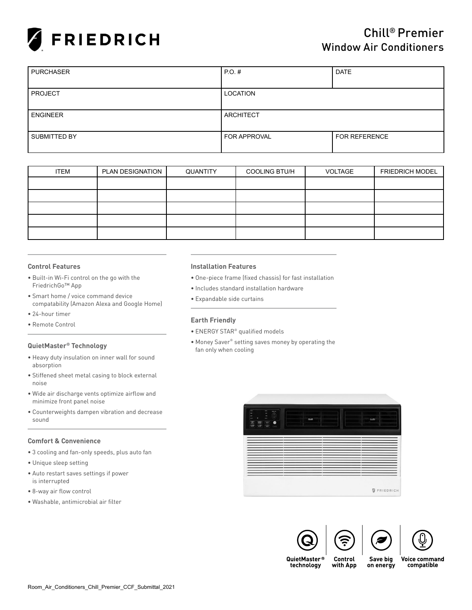

| <b>PURCHASER</b> | $PO.$ #<br><b>DATE</b> |               |  |  |
|------------------|------------------------|---------------|--|--|
|                  |                        |               |  |  |
| <b>PROJECT</b>   | LOCATION               |               |  |  |
|                  |                        |               |  |  |
| I ENGINEER       | ARCHITECT              |               |  |  |
|                  |                        |               |  |  |
| SUBMITTED BY     | <b>FOR APPROVAL</b>    | FOR REFERENCE |  |  |
|                  |                        |               |  |  |

| <b>ITEM</b> | PLAN DESIGNATION | QUANTITY | <b>COOLING BTU/H</b> | VOLTAGE | <b>FRIEDRICH MODEL</b> |
|-------------|------------------|----------|----------------------|---------|------------------------|
|             |                  |          |                      |         |                        |
|             |                  |          |                      |         |                        |
|             |                  |          |                      |         |                        |
|             |                  |          |                      |         |                        |
|             |                  |          |                      |         |                        |

#### **Control Features**

- Built-in Wi-Fi control on the go with the FriedrichGo™ App
- Smart home / voice command device compatability (Amazon Alexa and Google Home)
- 24-hour timer
- Remote Control

#### **QuietMaster® Technology**

- Heavy duty insulation on inner wall for sound absorption
- Stiffened sheet metal casing to block external noise
- Wide air discharge vents optimize airflow and minimize front panel noise
- Counterweights dampen vibration and decrease sound

#### **Comfort & Convenience**

- 3 cooling and fan-only speeds, plus auto fan
- Unique sleep setting
- Auto restart saves settings if power is interrupted
- 8-way air flow control
- Washable, antimicrobial air filter

#### **Installation Features**

- One-piece frame (fixed chassis) for fast installation
- Includes standard installation hardware
- Expandable side curtains

#### **Earth Friendly**

- ENERGY STAR® qualified models
- Money Saver® setting saves money by operating the fan only when cooling







QuietMaster® technology

Save big with App on energy **Voice command** compatible